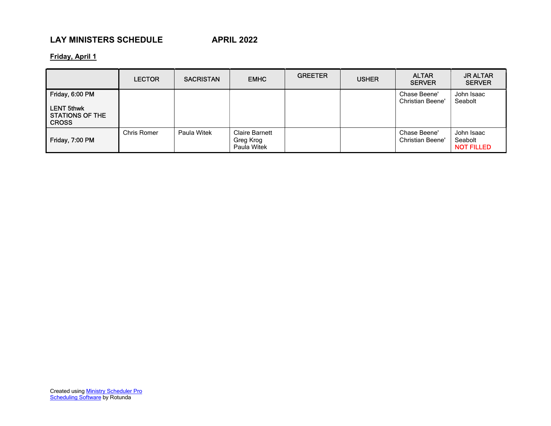# LAY MINISTERS SCHEDULE APRIL 2022

Friday, April 1

|                                                                                | <b>LECTOR</b> | <b>SACRISTAN</b> | <b>EMHC</b>                                | <b>GREETER</b> | <b>USHER</b> | <b>ALTAR</b><br><b>SERVER</b>           | <b>JR ALTAR</b><br><b>SERVER</b>           |
|--------------------------------------------------------------------------------|---------------|------------------|--------------------------------------------|----------------|--------------|-----------------------------------------|--------------------------------------------|
| Friday, 6:00 PM<br><b>LENT 5thwk</b><br><b>STATIONS OF THE</b><br><b>CROSS</b> |               |                  |                                            |                |              | Chase Beene'<br><b>Christian Beene'</b> | John Isaac<br>Seabolt                      |
| Friday, 7:00 PM                                                                | Chris Romer   | Paula Witek      | Claire Barnett<br>Greg Krog<br>Paula Witek |                |              | Chase Beene'<br><b>Christian Beene'</b> | John Isaac<br>Seabolt<br><b>NOT FILLED</b> |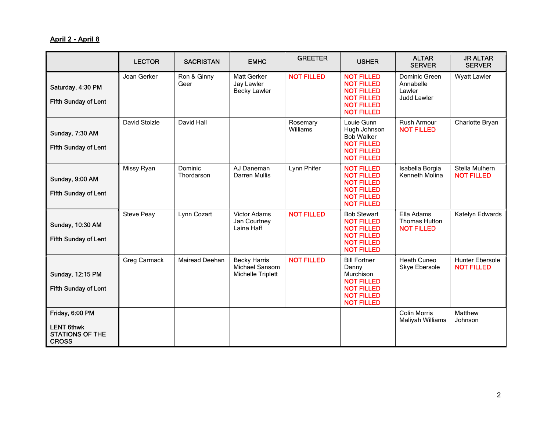### April 2 - April 8

|                                                                                | <b>LECTOR</b>     | <b>SACRISTAN</b>      | <b>EMHC</b>                                                | <b>GREETER</b>       | <b>USHER</b>                                                                                                                  | <b>ALTAR</b><br><b>SERVER</b>                           | <b>JR ALTAR</b><br><b>SERVER</b>     |
|--------------------------------------------------------------------------------|-------------------|-----------------------|------------------------------------------------------------|----------------------|-------------------------------------------------------------------------------------------------------------------------------|---------------------------------------------------------|--------------------------------------|
| Saturday, 4:30 PM<br><b>Fifth Sunday of Lent</b>                               | Joan Gerker       | Ron & Ginny<br>Geer   | Matt Gerker<br>Jay Lawler<br><b>Becky Lawler</b>           | <b>NOT FILLED</b>    | <b>NOT FILLED</b><br><b>NOT FILLED</b><br><b>NOT FILLED</b><br><b>NOT FILLED</b><br><b>NOT FILLED</b><br><b>NOT FILLED</b>    | Dominic Green<br>Annabelle<br>Lawler<br>Judd Lawler     | <b>Wyatt Lawler</b>                  |
| Sunday, 7:30 AM<br><b>Fifth Sunday of Lent</b>                                 | David Stolzle     | David Hall            |                                                            | Rosemary<br>Williams | Louie Gunn<br>Hugh Johnson<br><b>Bob Walker</b><br><b>NOT FILLED</b><br><b>NOT FILLED</b><br><b>NOT FILLED</b>                | <b>Rush Armour</b><br><b>NOT FILLED</b>                 | Charlotte Bryan                      |
| Sunday, 9:00 AM<br><b>Fifth Sunday of Lent</b>                                 | Missy Ryan        | Dominic<br>Thordarson | AJ Daneman<br>Darren Mullis                                | Lynn Phifer          | <b>NOT FILLED</b><br><b>NOT FILLED</b><br><b>NOT FILLED</b><br><b>NOT FILLED</b><br><b>NOT FILLED</b><br><b>NOT FILLED</b>    | Isabella Borgia<br>Kenneth Molina                       | Stella Mulhern<br><b>NOT FILLED</b>  |
| Sunday, 10:30 AM<br><b>Fifth Sunday of Lent</b>                                | <b>Steve Peay</b> | Lynn Cozart           | <b>Victor Adams</b><br>Jan Courtney<br>Laina Haff          | <b>NOT FILLED</b>    | <b>Bob Stewart</b><br><b>NOT FILLED</b><br><b>NOT FILLED</b><br><b>NOT FILLED</b><br><b>NOT FILLED</b><br><b>NOT FILLED</b>   | Ella Adams<br><b>Thomas Hutton</b><br><b>NOT FILLED</b> | Katelyn Edwards                      |
| Sunday, 12:15 PM<br><b>Fifth Sunday of Lent</b>                                | Greg Carmack      | Mairead Deehan        | <b>Becky Harris</b><br>Michael Sansom<br>Michelle Triplett | <b>NOT FILLED</b>    | <b>Bill Fortner</b><br>Danny<br>Murchison<br><b>NOT FILLED</b><br><b>NOT FILLED</b><br><b>NOT FILLED</b><br><b>NOT FILLED</b> | <b>Heath Cuneo</b><br>Skye Ebersole                     | Hunter Ebersole<br><b>NOT FILLED</b> |
| Friday, 6:00 PM<br><b>LENT 6thwk</b><br><b>STATIONS OF THE</b><br><b>CROSS</b> |                   |                       |                                                            |                      |                                                                                                                               | <b>Colin Morris</b><br>Maliyah Williams                 | Matthew<br>Johnson                   |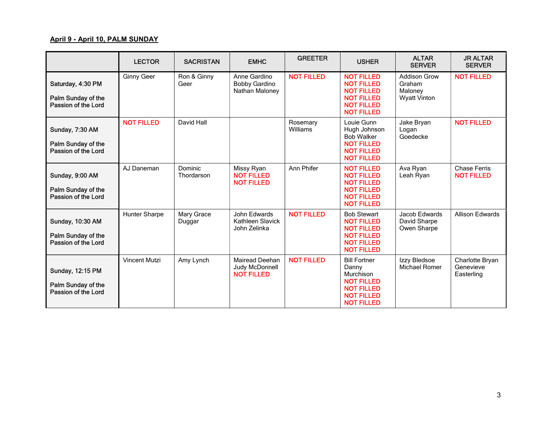#### April 9 - April 10, PALM SUNDAY

|                                                                | <b>LECTOR</b>        | <b>SACRISTAN</b>      | <b>EMHC</b>                                                  | <b>GREETER</b>       | <b>USHER</b>                                                                                                                  | <b>ALTAR</b><br><b>SERVER</b>                                   | <b>JR ALTAR</b><br><b>SERVER</b>           |
|----------------------------------------------------------------|----------------------|-----------------------|--------------------------------------------------------------|----------------------|-------------------------------------------------------------------------------------------------------------------------------|-----------------------------------------------------------------|--------------------------------------------|
| Saturday, 4:30 PM<br>Palm Sunday of the<br>Passion of the Lord | <b>Ginny Geer</b>    | Ron & Ginny<br>Geer   | Anne Gardino<br><b>Bobby Gardino</b><br>Nathan Maloney       | <b>NOT FILLED</b>    | <b>NOT FILLED</b><br><b>NOT FILLED</b><br><b>NOT FILLED</b><br><b>NOT FILLED</b><br><b>NOT FILLED</b><br><b>NOT FILLED</b>    | <b>Addison Grow</b><br>Graham<br>Maloney<br><b>Wyatt Vinton</b> | <b>NOT FILLED</b>                          |
| Sunday, 7:30 AM<br>Palm Sunday of the<br>Passion of the Lord   | <b>NOT FILLED</b>    | David Hall            |                                                              | Rosemary<br>Williams | Louie Gunn<br>Hugh Johnson<br><b>Bob Walker</b><br><b>NOT FILLED</b><br><b>NOT FILLED</b><br><b>NOT FILLED</b>                | Jake Bryan<br>Logan<br>Goedecke                                 | <b>NOT FILLED</b>                          |
| Sunday, 9:00 AM<br>Palm Sunday of the<br>Passion of the Lord   | AJ Daneman           | Dominic<br>Thordarson | Missy Ryan<br><b>NOT FILLED</b><br><b>NOT FILLED</b>         | Ann Phifer           | <b>NOT FILLED</b><br><b>NOT FILLED</b><br><b>NOT FILLED</b><br><b>NOT FILLED</b><br><b>NOT FILLED</b><br><b>NOT FILLED</b>    | Ava Ryan<br>Leah Ryan                                           | <b>Chase Ferris</b><br><b>NOT FILLED</b>   |
| Sunday, 10:30 AM<br>Palm Sunday of the<br>Passion of the Lord  | Hunter Sharpe        | Mary Grace<br>Duggar  | John Edwards<br>Kathleen Slavick<br>John Zelinka             | <b>NOT FILLED</b>    | <b>Bob Stewart</b><br><b>NOT FILLED</b><br><b>NOT FILLED</b><br><b>NOT FILLED</b><br><b>NOT FILLED</b><br><b>NOT FILLED</b>   | Jacob Edwards<br>David Sharpe<br>Owen Sharpe                    | <b>Allison Edwards</b>                     |
| Sunday, 12:15 PM<br>Palm Sunday of the<br>Passion of the Lord  | <b>Vincent Mutzi</b> | Amy Lynch             | <b>Mairead Deehan</b><br>Judy McDonnell<br><b>NOT FILLED</b> | <b>NOT FILLED</b>    | <b>Bill Fortner</b><br>Danny<br>Murchison<br><b>NOT FILLED</b><br><b>NOT FILLED</b><br><b>NOT FILLED</b><br><b>NOT FILLED</b> | Izzy Bledsoe<br>Michael Romer                                   | Charlotte Bryan<br>Genevieve<br>Easterling |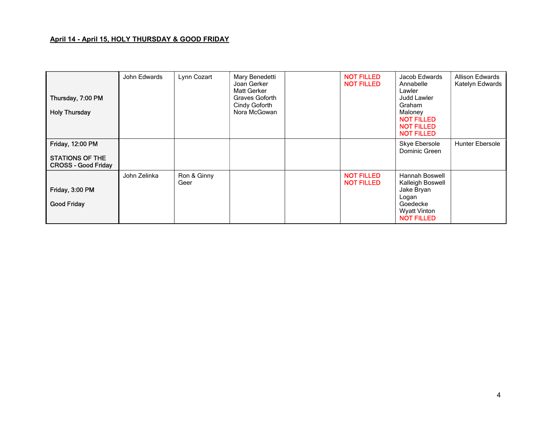#### April 14 - April 15, HOLY THURSDAY & GOOD FRIDAY

| Thursday, 7:00 PM<br><b>Holy Thursday</b>                         | John Edwards | Lynn Cozart         | Mary Benedetti<br>Joan Gerker<br><b>Matt Gerker</b><br>Graves Goforth<br>Cindy Goforth<br>Nora McGowan | <b>NOT FILLED</b><br><b>NOT FILLED</b> | Jacob Edwards<br>Annabelle<br>Lawler<br>Judd Lawler<br>Graham<br>Maloney<br><b>NOT FILLED</b><br><b>NOT FILLED</b><br><b>NOT FILLED</b> | <b>Allison Edwards</b><br>Katelyn Edwards |
|-------------------------------------------------------------------|--------------|---------------------|--------------------------------------------------------------------------------------------------------|----------------------------------------|-----------------------------------------------------------------------------------------------------------------------------------------|-------------------------------------------|
| Friday, 12:00 PM<br>STATIONS OF THE<br><b>CROSS - Good Friday</b> |              |                     |                                                                                                        |                                        | Skye Ebersole<br>Dominic Green                                                                                                          | <b>Hunter Ebersole</b>                    |
| Friday, 3:00 PM<br><b>Good Friday</b>                             | John Zelinka | Ron & Ginny<br>Geer |                                                                                                        | <b>NOT FILLED</b><br><b>NOT FILLED</b> | <b>Hannah Boswell</b><br>Kalleigh Boswell<br>Jake Bryan<br>Logan<br>Goedecke<br><b>Wyatt Vinton</b><br><b>NOT FILLED</b>                |                                           |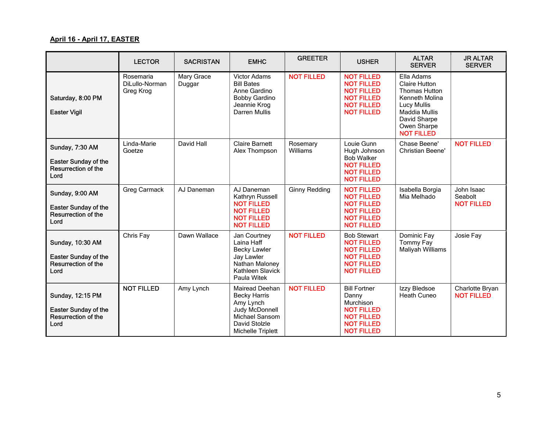#### April 16 - April 17, EASTER

|                                                                                | <b>LECTOR</b>                            | <b>SACRISTAN</b>     | <b>EMHC</b>                                                                                                                                | <b>GREETER</b>       | <b>USHER</b>                                                                                                                  | <b>ALTAR</b><br><b>SERVER</b>                                                                                                                                           | <b>JR ALTAR</b><br><b>SERVER</b>           |
|--------------------------------------------------------------------------------|------------------------------------------|----------------------|--------------------------------------------------------------------------------------------------------------------------------------------|----------------------|-------------------------------------------------------------------------------------------------------------------------------|-------------------------------------------------------------------------------------------------------------------------------------------------------------------------|--------------------------------------------|
| Saturday, 8:00 PM<br><b>Easter Vigil</b>                                       | Rosemaria<br>DiLullo-Norman<br>Greg Krog | Mary Grace<br>Duggar | Victor Adams<br><b>Bill Bates</b><br>Anne Gardino<br><b>Bobby Gardino</b><br>Jeannie Krog<br>Darren Mullis                                 | <b>NOT FILLED</b>    | <b>NOT FILLED</b><br><b>NOT FILLED</b><br><b>NOT FILLED</b><br><b>NOT FILLED</b><br><b>NOT FILLED</b><br><b>NOT FILLED</b>    | Ella Adams<br><b>Claire Hutton</b><br>Thomas Hutton<br>Kenneth Molina<br><b>Lucy Mullis</b><br><b>Maddia Mullis</b><br>David Sharpe<br>Owen Sharpe<br><b>NOT FILLED</b> |                                            |
| Sunday, 7:30 AM<br><b>Easter Sunday of the</b><br>Resurrection of the<br>Lord  | Linda-Marie<br>Goetze                    | David Hall           | <b>Claire Barnett</b><br>Alex Thompson                                                                                                     | Rosemary<br>Williams | Louie Gunn<br>Hugh Johnson<br><b>Bob Walker</b><br><b>NOT FILLED</b><br><b>NOT FILLED</b><br><b>NOT FILLED</b>                | Chase Beene'<br><b>Christian Beene'</b>                                                                                                                                 | <b>NOT FILLED</b>                          |
| Sunday, 9:00 AM<br><b>Easter Sunday of the</b><br>Resurrection of the<br>Lord  | Greg Carmack                             | AJ Daneman           | AJ Daneman<br>Kathryn Russell<br><b>NOT FILLED</b><br><b>NOT FILLED</b><br><b>NOT FILLED</b><br><b>NOT FILLED</b>                          | <b>Ginny Redding</b> | <b>NOT FILLED</b><br><b>NOT FILLED</b><br><b>NOT FILLED</b><br><b>NOT FILLED</b><br><b>NOT FILLED</b><br><b>NOT FILLED</b>    | Isabella Borgia<br>Mia Melhado                                                                                                                                          | John Isaac<br>Seabolt<br><b>NOT FILLED</b> |
| Sunday, 10:30 AM<br><b>Easter Sunday of the</b><br>Resurrection of the<br>Lord | Chris Fay                                | Dawn Wallace         | Jan Courtney<br>Laina Haff<br><b>Becky Lawler</b><br>Jay Lawler<br>Nathan Maloney<br>Kathleen Slavick<br>Paula Witek                       | <b>NOT FILLED</b>    | <b>Bob Stewart</b><br><b>NOT FILLED</b><br><b>NOT FILLED</b><br><b>NOT FILLED</b><br><b>NOT FILLED</b><br><b>NOT FILLED</b>   | Dominic Fay<br>Tommy Fay<br>Maliyah Williams                                                                                                                            | Josie Fay                                  |
| Sunday, 12:15 PM<br><b>Easter Sunday of the</b><br>Resurrection of the<br>Lord | <b>NOT FILLED</b>                        | Amy Lynch            | <b>Mairead Deehan</b><br><b>Becky Harris</b><br>Amy Lynch<br>Judy McDonnell<br><b>Michael Sansom</b><br>David Stolzle<br>Michelle Triplett | <b>NOT FILLED</b>    | <b>Bill Fortner</b><br>Danny<br>Murchison<br><b>NOT FILLED</b><br><b>NOT FILLED</b><br><b>NOT FILLED</b><br><b>NOT FILLED</b> | Izzy Bledsoe<br>Heath Cuneo                                                                                                                                             | Charlotte Bryan<br><b>NOT FILLED</b>       |